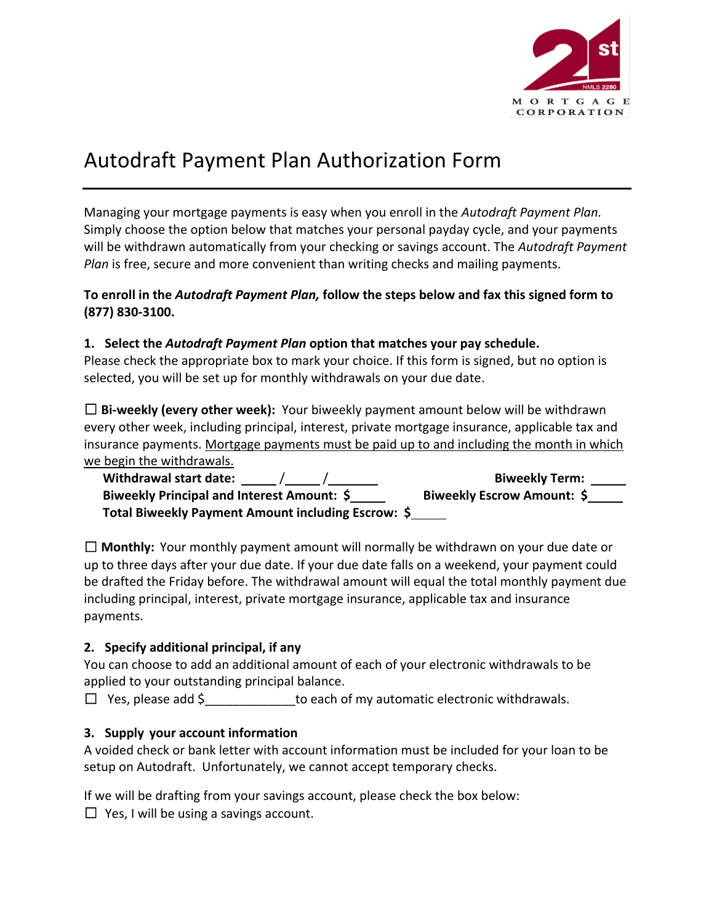

# Autodraft Payment Plan Authorization Form

Managing your mortgage payments is easy when you enroll in the *Autodraft Payment Plan.* Simply choose the option below that matches your personal payday cycle, and your payments will be withdrawn automatically from your checking or savings account. The *Autodraft Payment Plan* is free, secure and more convenient than writing checks and mailing payments.

#### **To enroll in the** *Autodraft Payment Plan,* **follow the steps below and fax this signed form to (877) 830-3100.**

# **1. Select the** *Autodraft Payment Plan* **option that matches your pay schedule.**

Please check the appropriate box to mark your choice. If this form is signed, but no option is selected, you will be set up for monthly withdrawals on your due date.

□ **Bi-weekly (every other week):** Your biweekly payment amount below will be withdrawn every other week, including principal, interest, private mortgage insurance, applicable tax and insurance payments. Mortgage payments must be paid up to and including the month in which we begin the withdrawals.

| Withdrawal start date: /                           | <b>Biweekly Term:</b>      |
|----------------------------------------------------|----------------------------|
| Biweekly Principal and Interest Amount: \$         | Biweekly Escrow Amount: \$ |
| Total Biweekly Payment Amount including Escrow: \$ |                            |

☐ **Monthly:** Your monthly payment amount will normally be withdrawn on your due date or up to three days after your due date. If your due date falls on a weekend, your payment could be drafted the Friday before. The withdrawal amount will equal the total monthly payment due including principal, interest, private mortgage insurance, applicable tax and insurance payments.

# **2. Specify additional principal, if any**

You can choose to add an additional amount of each of your electronic withdrawals to be applied to your outstanding principal balance.

□ Yes, please add \$ to each of my automatic electronic withdrawals.

# **3. Supply your account information**

A voided check or bank letter with account information must be included for your loan to be setup on Autodraft. Unfortunately, we cannot accept temporary checks.

If we will be drafting from your savings account, please check the box below:

 $\Box$  Yes, I will be using a savings account.